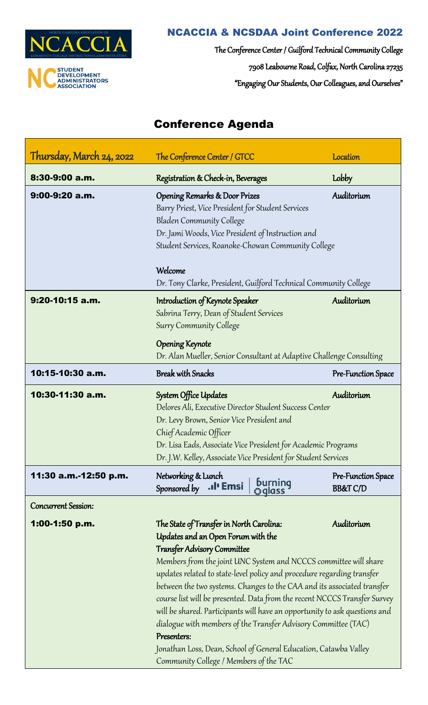

# NCACCIA & NCSDAA Joint Conference 2022

The Conference Center / Guilford Technical Community College 7908 Leabourne Road, Colfax, North Carolina 27235 "Engaging Our Students, Our Colleagues, and Ourselves"

# Conference Agenda

| Thursday, March 24, 2022   | The Conference Center / GTCC                                                                                                                                                                                                                                                                                                                                                                                                                                                                                                                                                                                                                                                                                          | <b>Location</b>                           |
|----------------------------|-----------------------------------------------------------------------------------------------------------------------------------------------------------------------------------------------------------------------------------------------------------------------------------------------------------------------------------------------------------------------------------------------------------------------------------------------------------------------------------------------------------------------------------------------------------------------------------------------------------------------------------------------------------------------------------------------------------------------|-------------------------------------------|
| 8:30-9:00 a.m.             | Registration & Check-in, Beverages                                                                                                                                                                                                                                                                                                                                                                                                                                                                                                                                                                                                                                                                                    | Lobby                                     |
| 9:00-9:20 a.m.             | <b>Opening Remarks &amp; Door Prizes</b><br>Barry Priest, Vice President for Student Services<br><b>Bladen Community College</b><br>Dr. Jami Woods, Vice President of Instruction and<br>Student Services, Roanoke-Chowan Community College                                                                                                                                                                                                                                                                                                                                                                                                                                                                           | Auditorium                                |
|                            | Welcome<br>Dr. Tony Clarke, President, Guilford Technical Community College                                                                                                                                                                                                                                                                                                                                                                                                                                                                                                                                                                                                                                           |                                           |
| 9:20-10:15 a.m.            | Introduction of Keynote Speaker<br>Sabrina Terry, Dean of Student Services<br><b>Surry Community College</b>                                                                                                                                                                                                                                                                                                                                                                                                                                                                                                                                                                                                          | Auditorium                                |
|                            | <b>Opening Keynote</b><br>Dr. Alan Mueller, Senior Consultant at Adaptive Challenge Consulting                                                                                                                                                                                                                                                                                                                                                                                                                                                                                                                                                                                                                        |                                           |
| 10:15-10:30 a.m.           | <b>Break with Snacks</b>                                                                                                                                                                                                                                                                                                                                                                                                                                                                                                                                                                                                                                                                                              | Pre-Function Space                        |
| 10:30-11:30 a.m.           | System Office Updates<br>Delores Ali, Executive Director Student Success Center<br>Dr. Levy Brown, Senior Vice President and<br>Chief Academic Officer<br>Dr. Lisa Eads, Associate Vice President for Academic Programs<br>Dr. J.W. Kelley, Associate Vice President for Student Services                                                                                                                                                                                                                                                                                                                                                                                                                             | Auditorium                                |
| 11:30 a.m.-12:50 p.m.      | Networking & Lunch<br>burning<br>©qlass<br>. <b>.</b> I' Emsi<br>Sponsored by                                                                                                                                                                                                                                                                                                                                                                                                                                                                                                                                                                                                                                         | Pre-Function Space<br><b>BB&amp;T C/D</b> |
| <b>Concurrent Session:</b> |                                                                                                                                                                                                                                                                                                                                                                                                                                                                                                                                                                                                                                                                                                                       |                                           |
| 1:00-1:50 p.m.             | The State of Transfer in North Carolina:<br>Auditorium<br>Updates and an Open Forum with the<br><b>Transfer Advisory Committee</b><br>Members from the joint UNC System and NCCCS committee will share<br>updates related to state-level policy and procedure regarding transfer<br>between the two systems. Changes to the CAA and its associated transfer<br>course list will be presented. Data from the recent NCCCS Transfer Survey<br>will be shared. Participants will have an opportunity to ask questions and<br>dialogue with members of the Transfer Advisory Committee (TAC)<br>Presenters:<br>Jonathan Loss, Dean, School of General Education, Catawba Valley<br>Community College / Members of the TAC |                                           |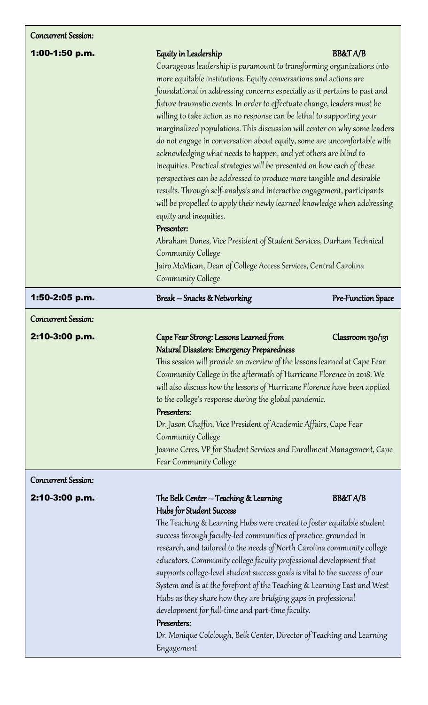| <b>Concurrent Session:</b> |  |
|----------------------------|--|
|----------------------------|--|

| 1:00-1:50 p.m.                               | Equity in Leadership<br>Courageous leadership is paramount to transforming organizations into<br>more equitable institutions. Equity conversations and actions are<br>foundational in addressing concerns especially as it pertains to past and<br>future traumatic events. In order to effectuate change, leaders must be<br>willing to take action as no response can be lethal to supporting your<br>marginalized populations. This discussion will center on why some leaders<br>do not engage in conversation about equity, some are uncomfortable with<br>acknowledging what needs to happen, and yet others are blind to<br>inequities. Practical strategies will be presented on how each of these<br>perspectives can be addressed to produce more tangible and desirable<br>results. Through self-analysis and interactive engagement, participants<br>will be propelled to apply their newly learned knowledge when addressing<br>equity and inequities.<br>Presenter:<br>Abraham Dones, Vice President of Student Services, Durham Technical<br>Community College<br>Jairo McMican, Dean of College Access Services, Central Carolina<br>Community College | <b>BB&amp;T A/B</b> |
|----------------------------------------------|------------------------------------------------------------------------------------------------------------------------------------------------------------------------------------------------------------------------------------------------------------------------------------------------------------------------------------------------------------------------------------------------------------------------------------------------------------------------------------------------------------------------------------------------------------------------------------------------------------------------------------------------------------------------------------------------------------------------------------------------------------------------------------------------------------------------------------------------------------------------------------------------------------------------------------------------------------------------------------------------------------------------------------------------------------------------------------------------------------------------------------------------------------------------|---------------------|
| 1:50-2:05 p.m.                               | Break – Snacks & Networking                                                                                                                                                                                                                                                                                                                                                                                                                                                                                                                                                                                                                                                                                                                                                                                                                                                                                                                                                                                                                                                                                                                                            | Pre-Function Space  |
| <b>Concurrent Session:</b><br>2:10-3:00 p.m. | Cape Fear Strong: Lessons Learned from<br>Natural Disasters: Emergency Preparedness<br>This session will provide an overview of the lessons learned at Cape Fear<br>Community College in the aftermath of Hurricane Florence in 2018. We<br>will also discuss how the lessons of Hurricane Florence have been applied<br>to the college's response during the global pandemic.<br>Presenters:<br>Dr. Jason Chaffin, Vice President of Academic Affairs, Cape Fear<br>Community College<br>Joanne Ceres, VP for Student Services and Enrollment Management, Cape<br><b>Fear Community College</b>                                                                                                                                                                                                                                                                                                                                                                                                                                                                                                                                                                       | Classroom 130/131   |
| <b>Concurrent Session:</b><br>2:10-3:00 p.m. | The Belk Center – Teaching & Learning<br>Hubs for Student Success<br>The Teaching & Learning Hubs were created to foster equitable student<br>success through faculty-led communities of practice, grounded in<br>research, and tailored to the needs of North Carolina community college<br>educators. Community college faculty professional development that<br>supports college-level student success goals is vital to the success of our<br>System and is at the forefront of the Teaching & Learning East and West<br>Hubs as they share how they are bridging gaps in professional<br>development for full-time and part-time faculty.<br>Presenters:<br>Dr. Monique Colclough, Belk Center, Director of Teaching and Learning                                                                                                                                                                                                                                                                                                                                                                                                                                 | <b>BB&amp;T A/B</b> |

Engagement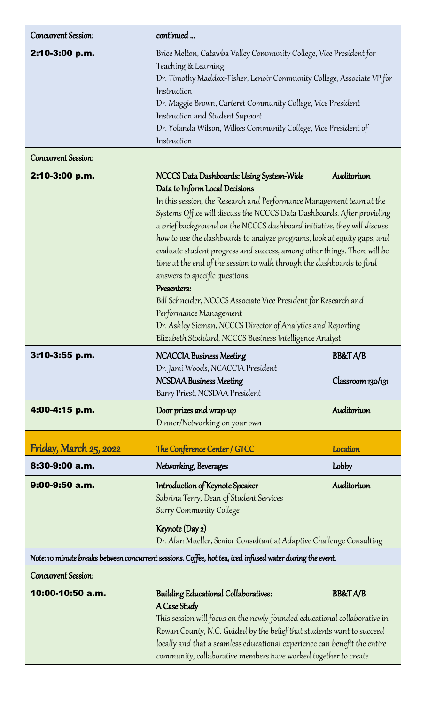| Concurrent Session:                            | continued                                                                                                                                                                                                                                                                                                                                                                                                                                                                                                                                                                                                                                                                                                                                                                                                                      |                                          |
|------------------------------------------------|--------------------------------------------------------------------------------------------------------------------------------------------------------------------------------------------------------------------------------------------------------------------------------------------------------------------------------------------------------------------------------------------------------------------------------------------------------------------------------------------------------------------------------------------------------------------------------------------------------------------------------------------------------------------------------------------------------------------------------------------------------------------------------------------------------------------------------|------------------------------------------|
| 2:10-3:00 p.m.                                 | Brice Melton, Catawba Valley Community College, Vice President for<br>Teaching & Learning<br>Dr. Timothy Maddox-Fisher, Lenoir Community College, Associate VP for<br>Instruction<br>Dr. Maggie Brown, Carteret Community College, Vice President<br>Instruction and Student Support<br>Dr. Yolanda Wilson, Wilkes Community College, Vice President of<br>Instruction                                                                                                                                                                                                                                                                                                                                                                                                                                                         |                                          |
| <b>Concurrent Session:</b>                     |                                                                                                                                                                                                                                                                                                                                                                                                                                                                                                                                                                                                                                                                                                                                                                                                                                |                                          |
| 2:10-3:00 p.m.                                 | NCCCS Data Dashboards: Using System-Wide<br>Auditorium<br>Data to Inform Local Decisions<br>In this session, the Research and Performance Management team at the<br>Systems Office will discuss the NCCCS Data Dashboards. After providing<br>a brief background on the NCCCS dashboard initiative, they will discuss<br>how to use the dashboards to analyze programs, look at equity gaps, and<br>evaluate student progress and success, among other things. There will be<br>time at the end of the session to walk through the dashboards to find<br>answers to specific questions.<br>Presenters:<br>Bill Schneider, NCCCS Associate Vice President for Research and<br>Performance Management<br>Dr. Ashley Sieman, NCCCS Director of Analytics and Reporting<br>Elizabeth Stoddard, NCCCS Business Intelligence Analyst |                                          |
| 3:10-3:55 p.m.                                 | <b>NCACCIA Business Meeting</b><br>Dr. Jami Woods, NCACCIA President<br><b>NCSDAA Business Meeting</b><br>Barry Priest, NCSDAA President                                                                                                                                                                                                                                                                                                                                                                                                                                                                                                                                                                                                                                                                                       | <b>BB&amp;T A/B</b><br>Classroom 130/131 |
| 4:00-4:15 p.m.                                 | Door prizes and wrap-up<br>Dinner/Networking on your own                                                                                                                                                                                                                                                                                                                                                                                                                                                                                                                                                                                                                                                                                                                                                                       | Auditorium                               |
|                                                |                                                                                                                                                                                                                                                                                                                                                                                                                                                                                                                                                                                                                                                                                                                                                                                                                                |                                          |
|                                                |                                                                                                                                                                                                                                                                                                                                                                                                                                                                                                                                                                                                                                                                                                                                                                                                                                | <b>Location</b>                          |
| Friday, March 25, 2022<br>8:30-9:00 a.m.       | The Conference Center / GTCC<br>Networking, Beverages                                                                                                                                                                                                                                                                                                                                                                                                                                                                                                                                                                                                                                                                                                                                                                          | <b>Lobby</b>                             |
| $9:00-9:50$ a.m.                               | Introduction of Keynote Speaker<br>Sabrina Terry, Dean of Student Services<br><b>Surry Community College</b><br>Keynote (Day 2)<br>Dr. Alan Mueller, Senior Consultant at Adaptive Challenge Consulting                                                                                                                                                                                                                                                                                                                                                                                                                                                                                                                                                                                                                        | Auditorium                               |
|                                                | Note: 10 minute breaks between concurrent sessions. Coffee, hot tea, iced infused water during the event.                                                                                                                                                                                                                                                                                                                                                                                                                                                                                                                                                                                                                                                                                                                      |                                          |
| <b>Concurrent Session:</b><br>10:00-10:50 a.m. | <b>Building Educational Collaboratives:</b>                                                                                                                                                                                                                                                                                                                                                                                                                                                                                                                                                                                                                                                                                                                                                                                    |                                          |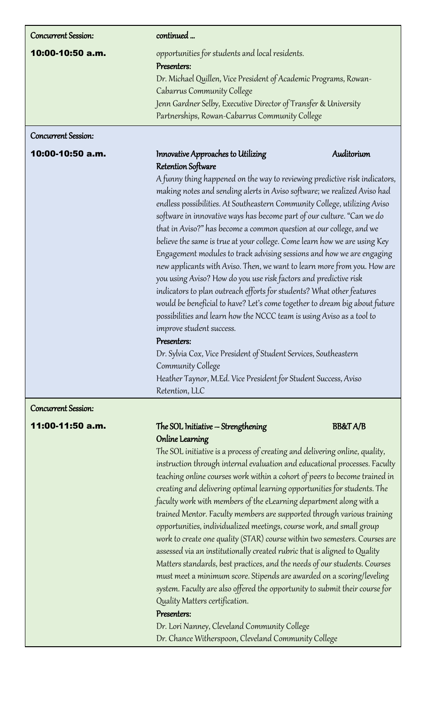| <b>Concurrent Session:</b>                                               | continued                                                                                                                                                         |                                                                            |  |
|--------------------------------------------------------------------------|-------------------------------------------------------------------------------------------------------------------------------------------------------------------|----------------------------------------------------------------------------|--|
| 10:00-10:50 a.m.                                                         | opportunities for students and local residents.                                                                                                                   |                                                                            |  |
|                                                                          | Presenters:                                                                                                                                                       |                                                                            |  |
|                                                                          | Dr. Michael Quillen, Vice President of Academic Programs, Rowan-<br>Cabarrus Community College<br>Jenn Gardner Selby, Executive Director of Transfer & University |                                                                            |  |
|                                                                          |                                                                                                                                                                   |                                                                            |  |
|                                                                          |                                                                                                                                                                   |                                                                            |  |
|                                                                          | Partnerships, Rowan-Cabarrus Community College                                                                                                                    |                                                                            |  |
| <b>Concurrent Session:</b>                                               |                                                                                                                                                                   |                                                                            |  |
| 10:00-10:50 a.m.                                                         | Innovative Approaches to Utilizing                                                                                                                                | Auditorium                                                                 |  |
|                                                                          | Retention Software                                                                                                                                                |                                                                            |  |
|                                                                          |                                                                                                                                                                   | A funny thing happened on the way to reviewing predictive risk indicators, |  |
| making notes and sending alerts in Aviso software; we realized Aviso had |                                                                                                                                                                   |                                                                            |  |
|                                                                          | endless possibilities. At Southeastern Community College, utilizing Aviso                                                                                         |                                                                            |  |
|                                                                          | software in innovative ways has become part of our culture. "Can we do                                                                                            |                                                                            |  |
|                                                                          | 1000 - Anna 1990 - Anna 1990 - Anna 1990 - Anna 1990 - Anna 1990 - Anna 1990 - Anna 1990 - Anna 1990 - Anna 19<br>ا انتخاب کار                                    |                                                                            |  |

that in Aviso?" has become a common question at our college, and we believe the same is true at your college. Come learn how we are using Key Engagement modules to track advising sessions and how we are engaging new applicants with Aviso. Then, we want to learn more from you. How are you using Aviso? How do you use risk factors and predictive risk indicators to plan outreach efforts for students? What other features would be beneficial to have? Let's come together to dream big about future possibilities and learn how the NCCC team is using Aviso as a tool to improve student success.

# Presenters:

Dr. Sylvia Cox, Vice President of Student Services, Southeastern Community College Heather Taynor, M.Ed. Vice President for Student Success, Aviso Retention, LLC

 $\overline{\mathbf{r}}$ Concurrent Session:

# 11:00-11:50 a.m. The SOL Initiative – Strengthening BB&T A/B Online Learning

The SOL initiative is a process of creating and delivering online, quality, instruction through internal evaluation and educational processes. Faculty teaching online courses work within a cohort of peers to become trained in creating and delivering optimal learning opportunities for students. The faculty work with members of the eLearning department along with a trained Mentor. Faculty members are supported through various training opportunities, individualized meetings, course work, and small group work to create one quality (STAR) course within two semesters. Courses are assessed via an institutionally created rubric that is aligned to Quality Matters standards, best practices, and the needs of our students. Courses must meet a minimum score. Stipends are awarded on a scoring/leveling system. Faculty are also offered the opportunity to submit their course for Quality Matters certification.

# Presenters:

Dr. Lori Nanney, Cleveland Community College Dr. Chance Witherspoon, Cleveland Community College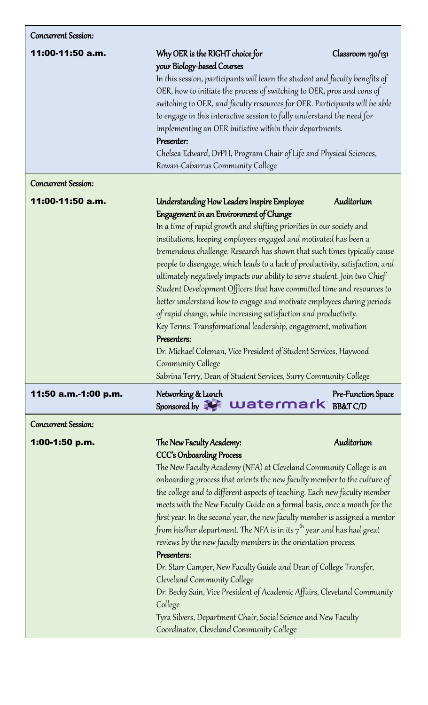| Concurrent Session:        |                                                                                                                                                                                                                                                                                                                                                                                                                                                                                                                                                                                                                                                                                                                                                                                                                                                                                                                                                  |                    |
|----------------------------|--------------------------------------------------------------------------------------------------------------------------------------------------------------------------------------------------------------------------------------------------------------------------------------------------------------------------------------------------------------------------------------------------------------------------------------------------------------------------------------------------------------------------------------------------------------------------------------------------------------------------------------------------------------------------------------------------------------------------------------------------------------------------------------------------------------------------------------------------------------------------------------------------------------------------------------------------|--------------------|
| 11:00-11:50 a.m.           | Why OER is the RIGHT choice for<br>your Biology-based Courses                                                                                                                                                                                                                                                                                                                                                                                                                                                                                                                                                                                                                                                                                                                                                                                                                                                                                    | Classroom 130/131  |
|                            | In this session, participants will learn the student and faculty benefits of<br>OER, how to initiate the process of switching to OER, pros and cons of<br>switching to OER, and faculty resources for OER. Participants will be able<br>to engage in this interactive session to fully understand the need for<br>implementing an OER initiative within their departments.<br>Presenter:<br>Chelsea Edward, DrPH, Program Chair of Life and Physical Sciences,<br>Rowan-Cabarrus Community College                                                                                                                                                                                                                                                                                                                                                                                                                                               |                    |
| <b>Concurrent Session:</b> |                                                                                                                                                                                                                                                                                                                                                                                                                                                                                                                                                                                                                                                                                                                                                                                                                                                                                                                                                  |                    |
| 11:00-11:50 a.m.           | Understanding How Leaders Inspire Employee<br>Engagement in an Environment of Change<br>In a time of rapid growth and shifting priorities in our society and<br>institutions, keeping employees engaged and motivated has been a<br>tremendous challenge. Research has shown that such times typically cause<br>people to disengage, which leads to a lack of productivity, satisfaction, and<br>ultimately negatively impacts our ability to serve student. Join two Chief<br>Student Development Officers that have committed time and resources to<br>better understand how to engage and motivate employees during periods<br>of rapid change, while increasing satisfaction and productivity.<br>Key Terms: Transformational leadership, engagement, motivation<br>Presenters:<br>Dr. Michael Coleman, Vice President of Student Services, Haywood<br>Community College<br>Sabrina Terry, Dean of Student Services, Surry Community College | Auditorium         |
| 11:50 a.m.-1:00 p.m.       | Networking & Lunch<br>Sponsored by <b>Watermark</b> BB&TC/D                                                                                                                                                                                                                                                                                                                                                                                                                                                                                                                                                                                                                                                                                                                                                                                                                                                                                      | Pre-Function Space |
| <b>Concurrent Session:</b> |                                                                                                                                                                                                                                                                                                                                                                                                                                                                                                                                                                                                                                                                                                                                                                                                                                                                                                                                                  |                    |
| 1:00-1:50 p.m.             | Auditorium<br>The New Faculty Academy:<br><b>CCC's Onboarding Process</b><br>The New Faculty Academy (NFA) at Cleveland Community College is an<br>onboarding process that orients the new faculty member to the culture of<br>the college and to different aspects of teaching. Each new faculty member<br>meets with the New Faculty Guide on a formal basis, once a month for the<br>first year. In the second year, the new faculty member is assigned a mentor<br>from his/her department. The NFA is in its $7^{th}$ year and has had great<br>reviews by the new faculty members in the orientation process.<br>Presenters:<br>Dr. Starr Camper, New Faculty Guide and Dean of College Transfer,<br>Cleveland Community College<br>Dr. Becky Sain, Vice President of Academic Affairs, Cleveland Community<br>College<br>Tyra Silvers, Department Chair, Social Science and New Faculty<br>Coordinator, Cleveland Community College       |                    |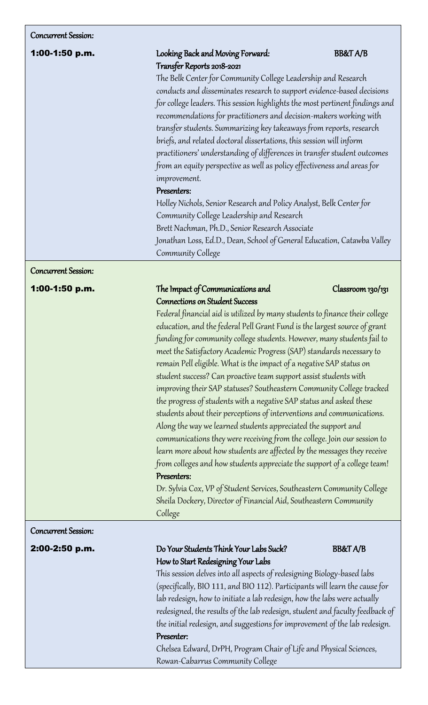## Concurrent Session:

# 1:00-1:50 p.m. Looking Back and Moving Forward: BB&T A/B Transfer Reports 2018-2021

The Belk Center for Community College Leadership and Research conducts and disseminates research to support evidence-based decisions for college leaders. This session highlights the most pertinent findings and recommendations for practitioners and decision-makers working with transfer students. Summarizing key takeaways from reports, research briefs, and related doctoral dissertations, this session will inform practitioners' understanding of differences in transfer student outcomes from an equity perspective as well as policy effectiveness and areas for improvement.

# Presenters:

Holley Nichols, Senior Research and Policy Analyst, Belk Center for Community College Leadership and Research Brett Nachman, Ph.D., Senior Research Associate Jonathan Loss, Ed.D., Dean, School of General Education, Catawba Valley Community College

## $\overline{1}$ Concurrent Session:

# **1:00-1:50 p.m.** The Impact of Communications and Classroom 130/131 Connections on Student Success

Federal financial aid is utilized by many students to finance their college education, and the federal Pell Grant Fund is the largest source of grant funding for community college students. However, many students fail to meet the Satisfactory Academic Progress (SAP) standards necessary to remain Pell eligible. What is the impact of a negative SAP status on student success? Can proactive team support assist students with improving their SAP statuses? Southeastern Community College tracked the progress of students with a negative SAP status and asked these students about their perceptions of interventions and communications. Along the way we learned students appreciated the support and communications they were receiving from the college. Join our session to learn more about how students are affected by the messages they receive from colleges and how students appreciate the support of a college team! Presenters:

Dr. Sylvia Cox, VP of Student Services, Southeastern Community College Sheila Dockery, Director of Financial Aid, Southeastern Community College

## $\overline{1}$ Concurrent Session:

# Ī

# 2:00-2:50 p.m. Do Your Students Think Your Labs Suck? BB&T A/B How to Start Redesigning Your Labs

This session delves into all aspects of redesigning Biology-based labs (specifically, BIO 111, and BIO 112). Participants will learn the cause for lab redesign, how to initiate a lab redesign, how the labs were actually redesigned, the results of the lab redesign, student and faculty feedback of the initial redesign, and suggestions for improvement of the lab redesign.

# Presenter:

Chelsea Edward, DrPH, Program Chair of Life and Physical Sciences, Rowan-Cabarrus Community College